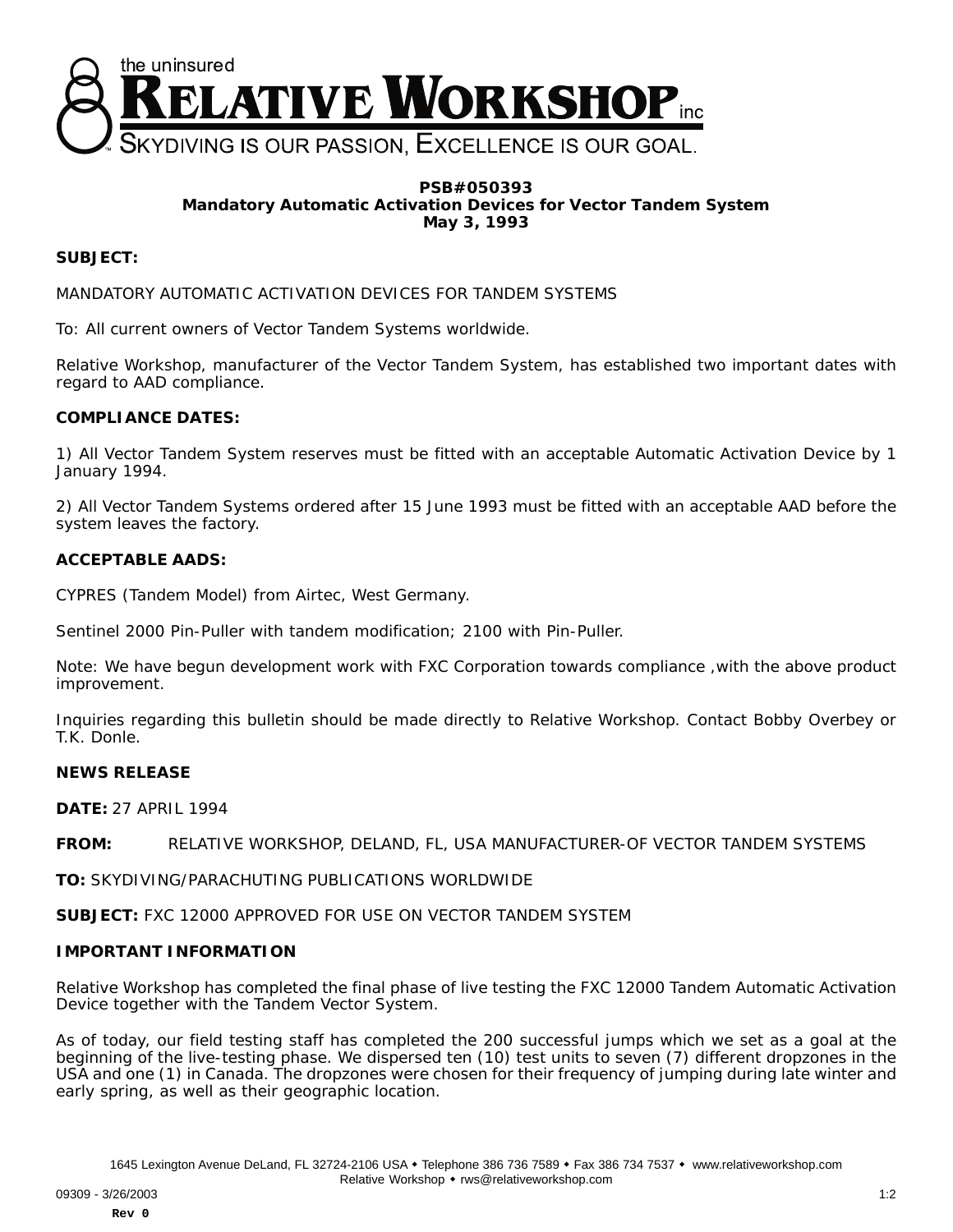

#### **PSB#050393 Mandatory Automatic Activation Devices for Vector Tandem System May 3, 1993**

# **SUBJECT:**

MANDATORY AUTOMATIC ACTIVATION DEVICES FOR TANDEM SYSTEMS

To: All current owners of Vector Tandem Systems worldwide.

Relative Workshop, manufacturer of the Vector Tandem System, has established two important dates with regard to AAD compliance.

### **COMPLIANCE DATES:**

1) All Vector Tandem System reserves must be fitted with an acceptable Automatic Activation Device by 1 January 1994.

2) All Vector Tandem Systems ordered after 15 June 1993 must be fitted with an acceptable AAD before the system leaves the factory.

### **ACCEPTABLE AADS:**

CYPRES (Tandem Model) from Airtec, West Germany.

Sentinel 2000 Pin-Puller with tandem modification; 2100 with Pin-Puller.

Note: We have begun development work with FXC Corporation towards compliance ,with the above product improvement.

Inquiries regarding this bulletin should be made directly to Relative Workshop. Contact Bobby Overbey or T.K. Donle.

## **NEWS RELEASE**

**DATE:** 27 APRIL 1994

**FROM:** RELATIVE WORKSHOP, DELAND, FL, USA MANUFACTURER-OF VECTOR TANDEM SYSTEMS

**TO:** SKYDIVING/PARACHUTING PUBLICATIONS WORLDWIDE

**SUBJECT:** FXC 12000 APPROVED FOR USE ON VECTOR TANDEM SYSTEM

### **IMPORTANT INFORMATION**

Relative Workshop has completed the final phase of live testing the FXC 12000 Tandem Automatic Activation Device together with the Tandem Vector System.

As of today, our field testing staff has completed the 200 successful jumps which we set as a goal at the beginning of the live-testing phase. We dispersed ten (10) test units to seven (7) different dropzones in the USA and one (1) in Canada. The dropzones were chosen for their frequency of jumping during late winter and early spring, as well as their geographic location.